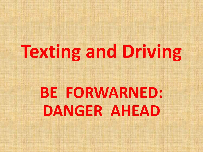## **Texting and Driving**

## **BE FORWARNED: DANGER AHEAD**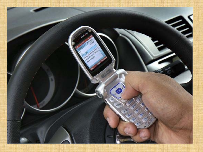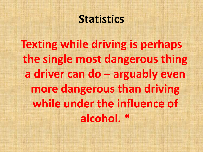**Texting while driving is perhaps the single most dangerous thing a driver can do – arguably even more dangerous than driving while under the influence of alcohol. \***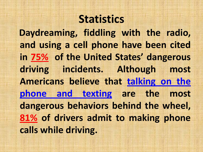**Daydreaming, fiddling with the radio, and using a cell phone have been cited in 75% of the United States' dangerous driving incidents. Although most Americans believe that [talking](http://www.edgarsnyder.com/car-accident/cell-phone/index.html) on the phone and [texting](http://www.edgarsnyder.com/car-accident/cell-phone/index.html) are the most dangerous behaviors behind the wheel, 81% of drivers admit to making phone calls while driving.**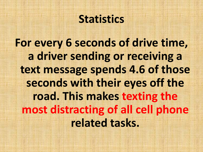**For every 6 seconds of drive time, a driver sending or receiving a text message spends 4.6 of those seconds with their eyes off the road. This makes texting the most distracting of all cell phone related tasks.**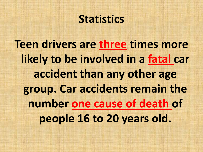**Teen drivers are three times more likely to be involved in a fatal car accident than any other age group. Car accidents remain the number one cause of death of people 16 to 20 years old.**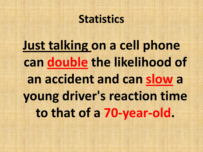**Just talking on a cell phone can double the likelihood of an accident and can slow a young driver's reaction time to that of a 70-year-old.**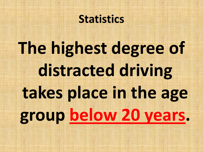**The highest degree of distracted driving takes place in the age group below 20 years.**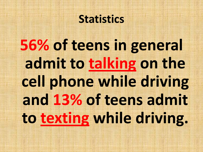**56% of teens in general admit to talking on the cell phone while driving and 13% of teens admit to texting while driving.**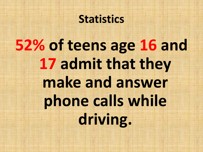**52% of teens age 16 and 17 admit that they make and answer phone calls while driving.**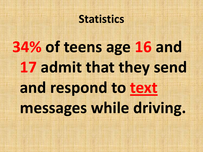**34% of teens age 16 and 17 admit that they send and respond to text messages while driving.**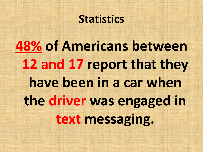**48% of Americans between 12 and 17 report that they have been in a car when the driver was engaged in text messaging.**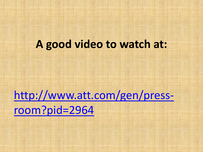#### **A good video to watch at:**

### [http://www.att.com/gen/press](http://www.att.com/gen/press-room?pid=2964)[room?pid=2964](http://www.att.com/gen/press-room?pid=2964)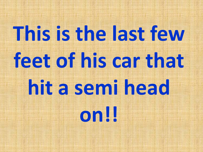# **This is the last few feet of his car that hit a semi head**

**on!!**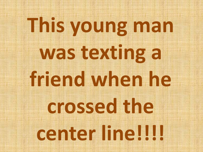**This young man was texting a**  friend when he **crossed the center line!!!!**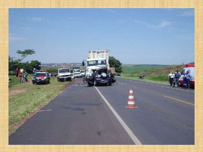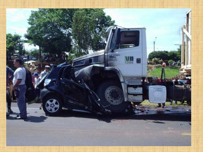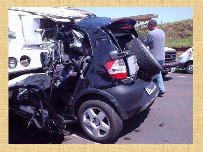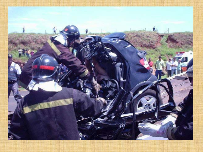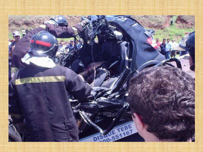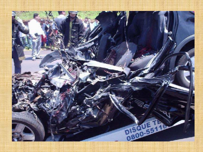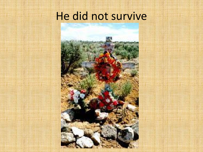#### He did not survive

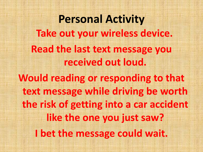**Personal Activity Take out your wireless device. Read the last text message you received out loud. Would reading or responding to that text message while driving be worth the risk of getting into a car accident like the one you just saw? I bet the message could wait.**